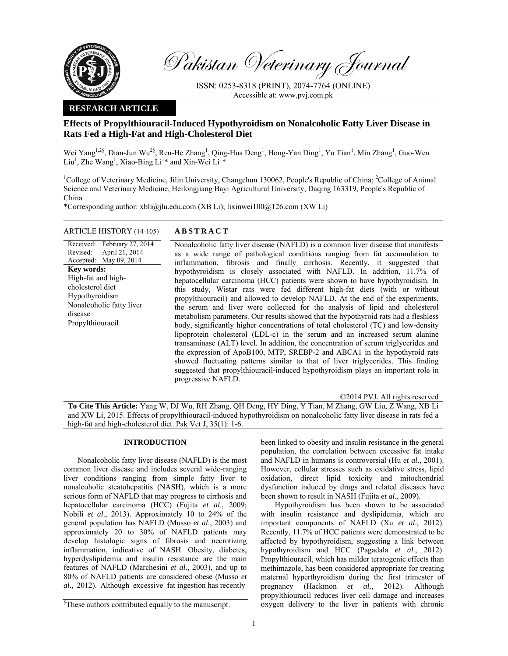

Revised:

disease

**Key words:** 

cholesterol diet Hypothyroidism

Propylthiouracil

Pakistan Veterinary Journal

ISSN: 0253-8318 (PRINT), 2074-7764 (ONLINE) Accessible at: www.pvj.com.pk

#### **RESEARCH ARTICLE**

# **Effects of Propylthiouracil-Induced Hypothyroidism on Nonalcoholic Fatty Liver Disease in Rats Fed a High-Fat and High-Cholesterol Diet**

Wei Yang<sup>1,2§</sup>, Dian-Jun Wu<sup>2§</sup>, Ren-He Zhang<sup>1</sup>, Qing-Hua Deng<sup>1</sup>, Hong-Yan Ding<sup>1</sup>, Yu Tian<sup>1</sup>, Min Zhang<sup>1</sup>, Guo-Wen Liu<sup>1</sup>, Zhe Wang<sup>1</sup>, Xiao-Bing Li<sup>1\*</sup> and Xin-Wei Li<sup>1\*</sup>

<sup>1</sup>College of Veterinary Medicine, Jilin University, Changchun 130062, People's Republic of China; <sup>2</sup>College of Animal Science and Veterinary Medicine, Heilongjiang Bayi Agricultural University, Daqing 163319, People's Republic of China

\*Corresponding author: xbli@jlu.edu.com (XB Li); lixinwei100@126.com (XW Li)

## ARTICLE HISTORY (14-105) **ABSTRACT**

Received: February 27, 2014 Accepted: May 09, 2014 April 21, 2014 Nonalcoholic fatty liver disease (NAFLD) is a common liver disease that manifests as a wide range of pathological conditions ranging from fat accumulation to inflammation, fibrosis and finally cirrhosis. Recently, it suggested that hypothyroidism is closely associated with NAFLD. In addition, 11.7% of hepatocellular carcinoma (HCC) patients were shown to have hypothyroidism. In this study, Wistar rats were fed different high-fat diets (with or without propylthiouracil) and allowed to develop NAFLD. At the end of the experiments, the serum and liver were collected for the analysis of lipid and cholesterol metabolism parameters. Our results showed that the hypothyroid rats had a fleshless body, significantly higher concentrations of total cholesterol (TC) and low-density lipoprotein cholesterol (LDL-c) in the serum and an increased serum alanine transaminase (ALT) level. In addition, the concentration of serum triglycerides and the expression of ApoB100, MTP, SREBP-2 and ABCA1 in the hypothyroid rats showed fluctuating patterns similar to that of liver triglycerides. This finding suggested that propylthiouracil-induced hypothyroidism plays an important role in progressive NAFLD. High-fat and high-Nonalcoholic fatty liver

©2014 PVJ. All rights reserved

**To Cite This Article:** Yang W, DJ Wu, RH Zhang, QH Deng, HY Ding, Y Tian, M Zhang, GW Liu, Z Wang, XB Li and XW Li, 2015. Effects of propylthiouracil-induced hypothyroidism on nonalcoholic fatty liver disease in rats fed a high-fat and high-cholesterol diet. Pak Vet J, 35(1): 1-6.

### **INTRODUCTION**

Nonalcoholic fatty liver disease (NAFLD) is the most common liver disease and includes several wide-ranging liver conditions ranging from simple fatty liver to nonalcoholic steatohepatitis (NASH), which is a more serious form of NAFLD that may progress to cirrhosis and hepatocellular carcinoma (HCC) (Fujita *et al*., 2009; Nobili *et al*., 2013). Approximately 10 to 24% of the general population has NAFLD (Musso *et al*., 2003) and approximately 20 to 30% of NAFLD patients may develop histologic signs of fibrosis and necrotizing inflammation, indicative of NASH. Obesity, diabetes, hyperdyslipidemia and insulin resistance are the main features of NAFLD (Marchesini *et al*., 2003), and up to 80% of NAFLD patients are considered obese (Musso *et al*., 2012). Although excessive fat ingestion has recently

§ These authors contributed equally to the manuscript.

been linked to obesity and insulin resistance in the general population, the correlation between excessive fat intake and NAFLD in humans is controversial (Hu *et al*., 2001). However, cellular stresses such as oxidative stress, lipid oxidation, direct lipid toxicity and mitochondrial dysfunction induced by drugs and related diseases have been shown to result in NASH (Fujita *et al*., 2009).

Hypothyroidism has been shown to be associated with insulin resistance and dyslipidemia, which are important components of NAFLD (Xu *et al*., 2012). Recently, 11.7% of HCC patients were demonstrated to be affected by hypothyroidism, suggesting a link between hypothyroidism and HCC (Pagadala *et al*., 2012). Propylthiouracil, which has milder teratogenic effects than methimazole, has been considered appropriate for treating maternal hyperthyroidism during the first trimester of pregnancy (Hackmon *et al*., 2012). Although propylthiouracil reduces liver cell damage and increases oxygen delivery to the liver in patients with chronic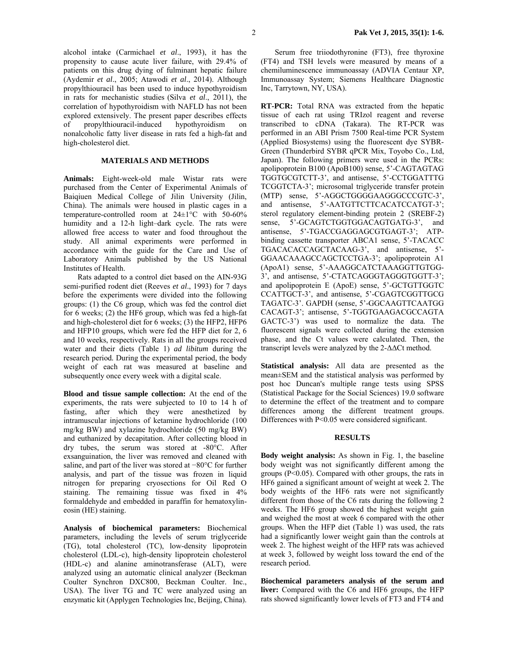alcohol intake (Carmichael *et al*., 1993), it has the propensity to cause acute liver failure, with 29.4% of patients on this drug dying of fulminant hepatic failure (Aydemir *et al*., 2005; Atawodi *et al*., 2014). Although propylthiouracil has been used to induce hypothyroidism in rats for mechanistic studies (Silva *et al*., 2011), the correlation of hypothyroidism with NAFLD has not been explored extensively. The present paper describes effects of propylthiouracil-induced hypothyroidism on nonalcoholic fatty liver disease in rats fed a high-fat and high-cholesterol diet.

### **MATERIALS AND METHODS**

**Animals:** Eight-week-old male Wistar rats were purchased from the Center of Experimental Animals of Baiqiuen Medical College of Jilin University (Jilin, China). The animals were housed in plastic cages in a temperature-controlled room at 24±1°C with 50-60% humidity and a 12-h light–dark cycle. The rats were allowed free access to water and food throughout the study. All animal experiments were performed in accordance with the guide for the Care and Use of Laboratory Animals published by the US National Institutes of Health.

Rats adapted to a control diet based on the AIN-93G semi-purified rodent diet (Reeves *et al*., 1993) for 7 days before the experiments were divided into the following groups: (1) the C6 group, which was fed the control diet for 6 weeks; (2) the HF6 group, which was fed a high-fat and high-cholesterol diet for 6 weeks; (3) the HFP2, HFP6 and HFP10 groups, which were fed the HFP diet for 2, 6 and 10 weeks, respectively. Rats in all the groups received water and their diets (Table 1) *ad libitum* during the research period*.* During the experimental period, the body weight of each rat was measured at baseline and subsequently once every week with a digital scale.

**Blood and tissue sample collection:** At the end of the experiments, the rats were subjected to 10 to 14 h of fasting, after which they were anesthetized by intramuscular injections of ketamine hydrochloride (100 mg/kg BW) and xylazine hydrochloride (50 mg/kg BW) and euthanized by decapitation. After collecting blood in dry tubes, the serum was stored at -80°C. After exsanguination, the liver was removed and cleaned with saline, and part of the liver was stored at −80°C for further analysis, and part of the tissue was frozen in liquid nitrogen for preparing cryosections for Oil Red O staining. The remaining tissue was fixed in 4% formaldehyde and embedded in paraffin for hematoxylineosin (HE) staining.

**Analysis of biochemical parameters:** Biochemical parameters, including the levels of serum triglyceride (TG), total cholesterol (TC), low-density lipoprotein cholesterol (LDL-c), high-density lipoprotein cholesterol (HDL-c) and alanine aminotransferase (ALT), were analyzed using an automatic clinical analyzer (Beckman Coulter Synchron DXC800, Beckman Coulter. Inc., USA). The liver TG and TC were analyzed using an enzymatic kit (Applygen Technologies Inc, Beijing, China).

Serum free triiodothyronine (FT3), free thyroxine (FT4) and TSH levels were measured by means of a chemiluminescence immunoassay (ADVIA Centaur XP, Immunoassay System; Siemens Healthcare Diagnostic Inc, Tarrytown, NY, USA).

**RT-PCR:** Total RNA was extracted from the hepatic tissue of each rat using TRIzol reagent and reverse transcribed to cDNA (Takara). The RT-PCR was performed in an ABI Prism 7500 Real-time PCR System (Applied Biosystems) using the fluorescent dye SYBR-Green (Thunderbird SYBR qPCR Mix, Toyobo Co., Ltd, Japan). The following primers were used in the PCRs: apolipoprotein B100 (ApoB100) sense, 5'-CAGTAGTAG TGGTGCGTCTT-3', and antisense, 5'-CCTGGATTTG TCGGTCTA-3'; microsomal triglyceride transfer protein (MTP) sense, 5'-AGGCTGGGGAAGGGCCCGTC-3', and antisense, 5'-AATGTTCTTCACATCCATGT-3'; sterol regulatory element-binding protein 2 (SREBF-2) sense, 5'-GCAGTCTGGTGGACAGTGATG-3', and antisense, 5'-TGACCGAGGAGCGTGAGT-3'; ATPbinding cassette transporter ABCA1 sense, 5'-TACACC TGACACACCAGCTACAAG-3', and antisense, 5'- GGAACAAAGCCAGCTCCTGA-3'; apolipoprotein A1 (ApoA1) sense, 5'-AAAGGCATCTAAAGGTTGTGG-3', and antisense, 5'-CTATCAGGGTAGGGTGGTT-3'; and apolipoprotein E (ApoE) sense, 5'-GCTGTTGGTC CCATTGCT-3', and antisense, 5'-CGAGTCGGTTGCG TAGATC-3'. GAPDH (sense, 5'-GGCAAGTTCAATGG CACAGT-3'; antisense, 5'-TGGTGAAGACGCCAGTA GACTC-3') was used to normalize the data. The fluorescent signals were collected during the extension phase, and the Ct values were calculated. Then, the transcript levels were analyzed by the 2-∆∆Ct method.

**Statistical analysis:** All data are presented as the mean±SEM and the statistical analysis was performed by post hoc Duncan's multiple range tests using SPSS (Statistical Package for the Social Sciences) 19.0 software to determine the effect of the treatment and to compare differences among the different treatment groups. Differences with P<0.05 were considered significant.

#### **RESULTS**

**Body weight analysis:** As shown in Fig. 1, the baseline body weight was not significantly different among the groups ( $P < 0.05$ ). Compared with other groups, the rats in HF6 gained a significant amount of weight at week 2. The body weights of the HF6 rats were not significantly different from those of the C6 rats during the following 2 weeks. The HF6 group showed the highest weight gain and weighed the most at week 6 compared with the other groups. When the HFP diet (Table 1) was used, the rats had a significantly lower weight gain than the controls at week 2. The highest weight of the HFP rats was achieved at week 3, followed by weight loss toward the end of the research period.

**Biochemical parameters analysis of the serum and liver:** Compared with the C6 and HF6 groups, the HFP rats showed significantly lower levels of FT3 and FT4 and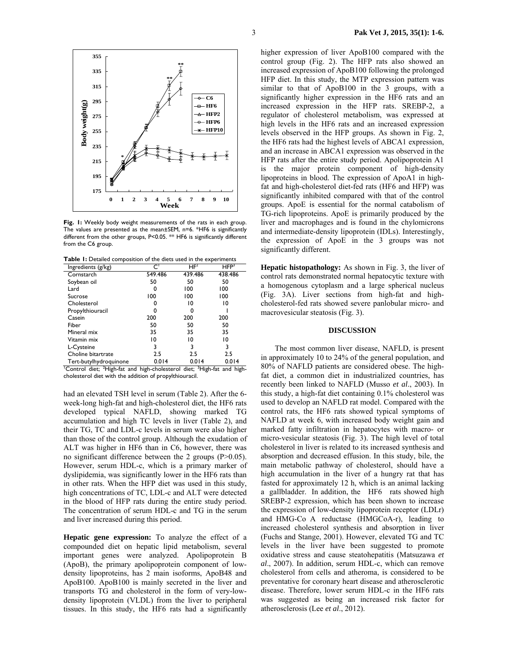

**Fig. 1:** Weekly body weight measurements of the rats in each group. The values are presented as the mean±SEM, n=6. \*HF6 is significantly different from the other groups, P<0.05. \*\* HF6 is significantly different from the C6 group.

Table 1: Detailed composition of the diets used in the experiments

| Ingredients (g/kg)     | اح      | HF <sup>2</sup> | HFP <sup>3</sup> |
|------------------------|---------|-----------------|------------------|
| Cornstarch             | 549.486 | 439.486         | 438.486          |
| Soybean oil            | 50      | 50              | 50               |
| Lard                   |         | 100             | 100              |
| Sucrose                | 100     | 100             | 100              |
| Cholesterol            |         | 10              | 10               |
| Propylthiouracil       | o       | O               |                  |
| Casein                 | 200     | 200             | 200              |
| Fiber                  | 50      | 50              | 50               |
| Mineral mix            | 35      | 35              | 35               |
| Vitamin mix            | 10      | 10              | 10               |
| L-Cysteine             | 3       | 3               | 3                |
| Choline bitartrate     | 2.5     | 2.5             | 2.5              |
| Tert-butylhydroquinone | 0.014   | 0.014           | 0.014            |

<sup>1</sup>Control diet; <sup>2</sup>High-fat and high-cholesterol diet; <sup>3</sup>High-fat and highcholesterol diet with the addition of propylthiouracil.

had an elevated TSH level in serum (Table 2). After the 6 week-long high-fat and high-cholesterol diet, the HF6 rats developed typical NAFLD, showing marked TG accumulation and high TC levels in liver (Table 2), and their TG, TC and LDL-c levels in serum were also higher than those of the control group. Although the exudation of ALT was higher in HF6 than in C6, however, there was no significant difference between the 2 groups (P>0.05). However, serum HDL-c, which is a primary marker of dyslipidemia, was significantly lower in the HF6 rats than in other rats. When the HFP diet was used in this study, high concentrations of TC, LDL-c and ALT were detected in the blood of HFP rats during the entire study period. The concentration of serum HDL-c and TG in the serum and liver increased during this period.

**Hepatic gene expression:** To analyze the effect of a compounded diet on hepatic lipid metabolism, several important genes were analyzed. Apolipoprotein B (ApoB), the primary apolipoprotein component of lowdensity lipoproteins, has 2 main isoforms, ApoB48 and ApoB100. ApoB100 is mainly secreted in the liver and transports TG and cholesterol in the form of very-lowdensity lipoprotein (VLDL) from the liver to peripheral tissues. In this study, the HF6 rats had a significantly

higher expression of liver ApoB100 compared with the control group (Fig. 2). The HFP rats also showed an increased expression of ApoB100 following the prolonged HFP diet. In this study, the MTP expression pattern was similar to that of ApoB100 in the 3 groups, with a significantly higher expression in the HF6 rats and an increased expression in the HFP rats. SREBP-2, a regulator of cholesterol metabolism, was expressed at high levels in the HF6 rats and an increased expression levels observed in the HFP groups. As shown in Fig. 2, the HF6 rats had the highest levels of ABCA1 expression, and an increase in ABCA1 expression was observed in the HFP rats after the entire study period. Apolipoprotein A1 is the major protein component of high-density lipoproteins in blood. The expression of ApoA1 in highfat and high-cholesterol diet-fed rats (HF6 and HFP) was significantly inhibited compared with that of the control groups. ApoE is essential for the normal catabolism of TG-rich lipoproteins. ApoE is primarily produced by the liver and macrophages and is found in the chylomicrons and intermediate-density lipoprotein (IDLs). Interestingly, the expression of ApoE in the 3 groups was not significantly different.

**Hepatic histopathology:** As shown in Fig. 3, the liver of control rats demonstrated normal hepatocytic texture with a homogenous cytoplasm and a large spherical nucleus (Fig. 3A). Liver sections from high-fat and highcholesterol-fed rats showed severe panlobular micro- and macrovesicular steatosis (Fig. 3).

#### **DISCUSSION**

The most common liver disease, NAFLD, is present in approximately 10 to 24% of the general population, and 80% of NAFLD patients are considered obese. The highfat diet, a common diet in industrialized countries, has recently been linked to NAFLD (Musso *et al*., 2003). In this study, a high-fat diet containing 0.1% cholesterol was used to develop an NAFLD rat model. Compared with the control rats, the HF6 rats showed typical symptoms of NAFLD at week 6, with increased body weight gain and marked fatty infiltration in hepatocytes with macro- or micro-vesicular steatosis (Fig. 3). The high level of total cholesterol in liver is related to its increased synthesis and absorption and decreased effusion. In this study, bile, the main metabolic pathway of cholesterol, should have a high accumulation in the liver of a hungry rat that has fasted for approximately 12 h, which is an animal lacking a gallbladder. In addition, the HF6 rats showed high SREBP-2 expression, which has been shown to increase the expression of low-density lipoprotein receptor (LDLr) and HMG-Co A reductase (HMGCoA-r), leading to increased cholesterol synthesis and absorption in liver (Fuchs and Stange, 2001). However, elevated TG and TC levels in the liver have been suggested to promote oxidative stress and cause steatohepatitis (Matsuzawa *et al*., 2007). In addition, serum HDL-c, which can remove cholesterol from cells and atheroma, is considered to be preventative for coronary heart disease and atherosclerotic disease. Therefore, lower serum HDL-c in the HF6 rats was suggested as being an increased risk factor for atherosclerosis (Lee *et al*., 2012).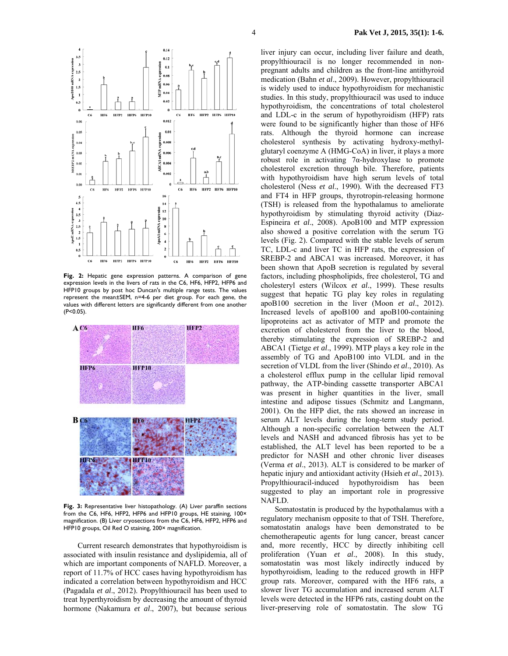

 $0.14$ 

 $0.12$ 

 $0.1$ 

 $0.012$ 

 $_{0.01}$ 

 $0.006$ 

0.002

16

 $\overline{14}$ 

 $12$ 

10

 $\overline{4}$ 

 $\overline{2}$ 

poA1 mRNA  $\bf{s}$  $\epsilon$   $C6$ HF6

ECAI 0.004

HFP6 HFP10

 $C6$ 

HF6

**НГР2 НГР6 НГР10** 

НУР2 НУР6 НЕР10

expr  $0.08$ 

mRNA  $0.06$ 

È  $^{0.04}$  $0.02$ 

 $3.5$ 

 $2.5$ 

 $\mathbf 2$ 

 $1.5$ 

 $0.5$ 

 $0.06$  $0.05$ 

 $0.04$ 

 $0.02$ 

 $^{0.01}$ 

 $^{0.00}$ 

 $4.5$ 

 $\begin{array}{c} 4 \\ 3.5 \end{array}$ 

 $\mathbf 3$  $\begin{array}{c} 2.5 \\ 2 \end{array}$ 

1.5

 $\mathbf{1}$ 

 $0.5$ 

ApoE mRNA expression

 $C6$ HF6 HFP2

SREBP2 mRNA  $0.03$   $C6$ **HF6**  HFP2 HFP6 HFP10

poB100 mRNA expression  $\overline{\mathbf{3}}$ 



**Fig. 3:** Representative liver histopathology. (A) Liver paraffin sections from the C6, HF6, HFP2, HFP6 and HFP10 groups, HE staining, 100× magnification. (B) Liver cryosections from the C6, HF6, HFP2, HFP6 and HFP10 groups, Oil Red O staining, 200× magnification.

Current research demonstrates that hypothyroidism is associated with insulin resistance and dyslipidemia, all of which are important components of NAFLD. Moreover, a report of 11.7% of HCC cases having hypothyroidism has indicated a correlation between hypothyroidism and HCC (Pagadala *et al*., 2012). Propylthiouracil has been used to treat hyperthyroidism by decreasing the amount of thyroid hormone (Nakamura *et al*., 2007), but because serious

liver injury can occur, including liver failure and death, propylthiouracil is no longer recommended in nonpregnant adults and children as the front-line antithyroid medication (Bahn *et al*., 2009). However, propylthiouracil is widely used to induce hypothyroidism for mechanistic studies. In this study, propylthiouracil was used to induce hypothyroidism, the concentrations of total cholesterol and LDL-c in the serum of hypothyroidism (HFP) rats were found to be significantly higher than those of HF6 rats. Although the thyroid hormone can increase cholesterol synthesis by activating hydroxy-methylglutaryl coenzyme A (HMG-CoA) in liver, it plays a more robust role in activating 7α-hydroxylase to promote cholesterol excretion through bile. Therefore, patients with hypothyroidism have high serum levels of total cholesterol (Ness *et al*., 1990). With the decreased FT3 and FT4 in HFP groups, thyrotropin-releasing hormone (TSH) is released from the hypothalamus to ameliorate hypothyroidism by stimulating thyroid activity (Diaz-Espineira *et al*., 2008). ApoB100 and MTP expression also showed a positive correlation with the serum TG levels (Fig. 2). Compared with the stable levels of serum TC, LDL-c and liver TC in HFP rats, the expression of SREBP-2 and ABCA1 was increased. Moreover, it has been shown that ApoB secretion is regulated by several factors, including phospholipids, free cholesterol, TG and cholesteryl esters (Wilcox *et al*., 1999). These results suggest that hepatic TG play key roles in regulating apoB100 secretion in the liver (Moon *et al*., 2012). Increased levels of apoB100 and apoB100-containing lipoproteins act as activator of MTP and promote the excretion of cholesterol from the liver to the blood, thereby stimulating the expression of SREBP-2 and ABCA1 (Tietge *et al*., 1999). MTP plays a key role in the assembly of TG and ApoB100 into VLDL and in the secretion of VLDL from the liver (Shindo *et al*., 2010). As a cholesterol efflux pump in the cellular lipid removal pathway, the ATP-binding cassette transporter ABCA1 was present in higher quantities in the liver, small intestine and adipose tissues (Schmitz and Langmann, 2001). On the HFP diet, the rats showed an increase in serum ALT levels during the long-term study period. Although a non-specific correlation between the ALT levels and NASH and advanced fibrosis has yet to be established, the ALT level has been reported to be a predictor for NASH and other chronic liver diseases (Verma *et al*., 2013). ALT is considered to be marker of hepatic injury and antioxidant activity (Hsieh *et al*., 2013). Propylthiouracil-induced hypothyroidism has been suggested to play an important role in progressive NAFLD.

Somatostatin is produced by the hypothalamus with a regulatory mechanism opposite to that of TSH. Therefore, somatostatin analogs have been demonstrated to be chemotherapeutic agents for lung cancer, breast cancer and, more recently, HCC by directly inhibiting cell proliferation (Yuan *et al*., 2008). In this study, somatostatin was most likely indirectly induced by hypothyroidism, leading to the reduced growth in HFP group rats. Moreover, compared with the HF6 rats, a slower liver TG accumulation and increased serum ALT levels were detected in the HFP6 rats, casting doubt on the liver-preserving role of somatostatin. The slow TG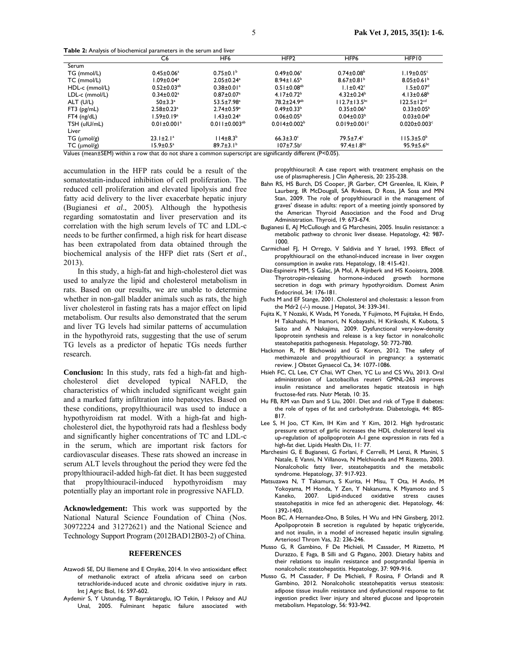**Table 2:** Analysis of biochemical parameters in the serum and liver

| $\overline{\phantom{a}}$           | C <sub>6</sub>                | HF <sub>6</sub>              | HFP <sub>2</sub>                         | HFP6                           | HFP <sub>10</sub>              |
|------------------------------------|-------------------------------|------------------------------|------------------------------------------|--------------------------------|--------------------------------|
| Serum                              |                               |                              |                                          |                                |                                |
| TG (mmol/L)                        | $0.45 \pm 0.06^a$             | $0.75 \pm 0.1^b$             | $0.49 \pm 0.06^a$                        | $0.74 \pm 0.08^b$              | $1.19 \pm 0.05$ <sup>c</sup>   |
| TC (mmol/L)                        | $1.09 \pm 0.04$ <sup>a</sup>  | $2.05 \pm 0.24$ <sup>a</sup> | $8.94 \pm 1.65^{\circ}$                  | $8.67 \pm 0.81$ <sup>b</sup>   | $8.05 \pm 0.61^b$              |
| HDL-c (mmol/L)                     | $0.52 \pm 0.03^{ab}$          | $0.38 \pm 0.01$ <sup>a</sup> | $0.51 \pm 0.08^{ab}$                     | $1.1 \pm 0.42$ <sup>c</sup>    | $1.5 \pm 0.07$ <sup>d</sup>    |
| LDL-c (mmol/L)                     | $0.34 \pm 0.02$ <sup>a</sup>  | $0.87 \pm 0.07$ <sup>a</sup> | 4.17 $\pm$ 0.72 <sup>b</sup>             | $4.32 \pm 0.24^b$              | 4.13 $\pm$ 0.68 <sup>b</sup>   |
| ALT (U/L)                          | $50+3.3a$                     | $53.5 \pm 7.98$ <sup>a</sup> | 78.2±24.9 <sup>ab</sup>                  | $112.7 \pm 13.5^{bc}$          | $122.5 \pm 12^{cd}$            |
| $FT3$ ( $pg/mL$ )                  | $2.58 \pm 0.23$ <sup>a</sup>  | $2.74 \pm 0.59$ <sup>a</sup> | $0.49 \pm 0.33^b$                        | $0.35 \pm 0.06^{\circ}$        | $0.33 \pm 0.05^{\circ}$        |
| $FT4$ (ng/dL)                      | 1.59±0.19ª                    | $1.43 \pm 0.24$ <sup>a</sup> | $0.06 \pm 0.05^{\circ}$                  | $0.04 \pm 0.03^b$              | $0.03 \pm 0.04$                |
| TSH (uIU/mL)                       | $0.01 \pm 0.001$ <sup>a</sup> | $0.011 \pm 0.003^{ab}$       | $0.014 \pm 0.002$ <sup>b</sup>           | $0.019 \pm 0.001$ <sup>c</sup> | $0.020 \pm 0.003$ <sup>c</sup> |
| Liver                              |                               |                              |                                          |                                |                                |
| $TG$ ( $\mu$ mol/g)                | $23.1 \pm 2.1^a$              | $114 \pm 8.3^{b}$            | $66.3 \pm 3.0^{\circ}$                   | $79.5 \pm 7.4$ °               | $115.3 \pm 5.0^{\circ}$        |
| $TC$ ( $\mu$ mol/g)<br>$- - - - -$ | $15.9 \pm 0.5^{\circ}$        | $89.7 \pm 3.1^{\circ}$       | $107 \pm 7.5$ b <sup>c</sup><br>$\cdots$ | $97.4 \pm 1.8$ <sup>bc</sup>   | $95.9 \pm 5.6$ <sub>bc</sub>   |

Values (mean±SEM) within a row that do not share a common superscript are significantly different (P<0.05).

accumulation in the HFP rats could be a result of the somatostatin-induced inhibition of cell proliferation. The reduced cell proliferation and elevated lipolysis and free fatty acid delivery to the liver exacerbate hepatic injury (Bugianesi *et al*., 2005). Although the hypothesis regarding somatostatin and liver preservation and its correlation with the high serum levels of TC and LDL-c needs to be further confirmed, a high risk for heart disease has been extrapolated from data obtained through the biochemical analysis of the HFP diet rats (Sert *et al*., 2013).

In this study, a high-fat and high-cholesterol diet was used to analyze the lipid and cholesterol metabolism in rats. Based on our results, we are unable to determine whether in non-gall bladder animals such as rats, the high liver cholesterol in fasting rats has a major effect on lipid metabolism. Our results also demonstrated that the serum and liver TG levels had similar patterns of accumulation in the hypothyroid rats, suggesting that the use of serum TG levels as a predictor of hepatic TGs needs further research.

**Conclusion:** In this study, rats fed a high-fat and highcholesterol diet developed typical NAFLD, the characteristics of which included significant weight gain and a marked fatty infiltration into hepatocytes. Based on these conditions, propylthiouracil was used to induce a hypothyroidism rat model. With a high-fat and highcholesterol diet, the hypothyroid rats had a fleshless body and significantly higher concentrations of TC and LDL-c in the serum, which are important risk factors for cardiovascular diseases. These rats showed an increase in serum ALT levels throughout the period they were fed the propylthiouracil-added high-fat diet. It has been suggested that propylthiouracil-induced hypothyroidism may potentially play an important role in progressive NAFLD.

**Acknowledgement:** This work was supported by the National Natural Science Foundation of China (Nos. 30972224 and 31272621) and the National Science and Technology Support Program (2012BAD12B03-2) of China.

#### **REFERENCES**

- Atawodi SE, DU Iliemene and E Onyike, 2014. In vivo antioxidant effect of methanolic extract of afzelia africana seed on carbon tetrachloride-induced acute and chronic oxidative injury in rats. Int J Agric Biol, 16: 597-602.
- Aydemir S, Y Ustundag, T Bayraktaroglu, IO Tekin, I Peksoy and AU Unal, 2005. Fulminant hepatic failure associated with

propylthiouracil: A case report with treatment emphasis on the use of plasmapheresis. J Clin Apheresis, 20: 235-238.

- Bahn RS, HS Burch, DS Cooper, JR Garber, CM Greenlee, IL Klein, P Laurberg, IR McDougall, SA Rivkees, D Ross, JA Sosa and MN Stan, 2009. The role of propylthiouracil in the management of graves' disease in adults: report of a meeting jointly sponsored by the American Thyroid Association and the Food and Drug Administration. Thyroid, 19: 673-674.
- Bugianesi E, AJ McCullough and G Marchesini, 2005. Insulin resistance: a metabolic pathway to chronic liver disease. Hepatology, 42: 987- 1000.
- Carmichael FJ, H Orrego, V Saldivia and Y Israel, 1993. Effect of propylthiouracil on the ethanol-induced increase in liver oxygen consumption in awake rats. Hepatology, 18: 415-421.
- Diaz-Espineira MM, S Galac, JA Mol, A Rijnberk and HS Kooistra, 2008. Thyrotropin-releasing hormone-induced growth hormone secretion in dogs with primary hypothyroidism. Domest Anim Endocrinol, 34: 176-181.
- Fuchs M and EF Stange, 2001. Cholesterol and cholestasis: a lesson from the Mdr2 (-/-) mouse. | Hepatol, 34: 339-341.
- Fujita K, Y Nozaki, K Wada, M Yoneda, Y Fujimoto, M Fujitake, H Endo, H Takahashi, M Inamori, N Kobayashi, H Kirikoshi, K Kubota, S Saito and A Nakajima, 2009. Dysfunctional very-low-density lipoprotein synthesis and release is a key factor in nonalcoholic steatohepatitis pathogenesis. Hepatology, 50: 772-780.
- Hackmon R, M Blichowski and G Koren, 2012. The safety of methimazole and propylthiouracil in pregnancy: a systematic review. J Obstet Gynaecol Ca, 34: 1077-1086.
- Hsieh FC, CL Lee, CY Chai, WT Chen, YC Lu and CS Wu, 2013. Oral administration of Lactobacillus reuteri GMNL-263 improves insulin resistance and ameliorates hepatic steatosis in high fructose-fed rats. Nutr Metab, 10: 35.
- Hu FB, RM van Dam and S Liu, 2001. Diet and risk of Type II diabetes: the role of types of fat and carbohydrate. Diabetologia, 44: 805- 817.
- Lee S, H Joo, CT Kim, IH Kim and Y Kim, 2012. High hydrostatic pressure extract of garlic increases the HDL cholesterol level via up-regulation of apolipoprotein A-I gene expression in rats fed a high-fat diet. Lipids Health Dis, 11: 77.
- Marchesini G, E Bugianesi, G Forlani, F Cerrelli, M Lenzi, R Manini, S Natale, E Vanni, N Villanova, N Melchionda and M Rizzetto, 2003. Nonalcoholic fatty liver, steatohepatitis and the metabolic syndrome. Hepatology, 37: 917-923.
- Matsuzawa N, T Takamura, S Kurita, H Misu, T Ota, H Ando, M Yokoyama, M Honda, Y Zen, Y Nakanuma, K Miyamoto and S Kaneko, 2007. Lipid-induced oxidative stress causes steatohepatitis in mice fed an atherogenic diet. Hepatology, 46: 1392-1403.
- Moon BC, A Hernandez-Ono, B Stiles, H Wu and HN Ginsberg, 2012. Apolipoprotein B secretion is regulated by hepatic triglyceride, and not insulin, in a model of increased hepatic insulin signaling. Arterioscl Throm Vas, 32: 236-246.
- Musso G, R Gambino, F De Michieli, M Cassader, M Rizzetto, M Durazzo, E Faga, B Silli and G Pagano, 2003. Dietary habits and their relations to insulin resistance and postprandial lipemia in nonalcoholic steatohepatitis. Hepatology, 37: 909-916.
- Musso G, M Cassader, F De Michieli, F Rosina, F Orlandi and R Gambino, 2012. Nonalcoholic steatohepatitis versus steatosis: adipose tissue insulin resistance and dysfunctional response to fat ingestion predict liver injury and altered glucose and lipoprotein metabolism. Hepatology, 56: 933-942.